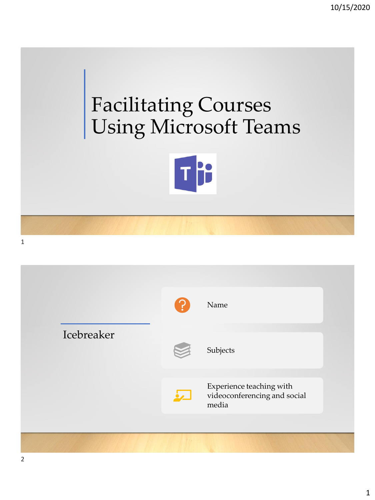## Facilitating Courses Using Microsoft Teams



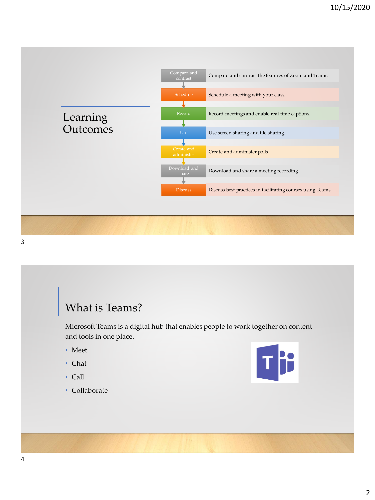

## What is Teams?

Microsoft Teams is a digital hub that enables people to work together on content and tools in one place.

- Meet
- Chat
- Call
- Collaborate

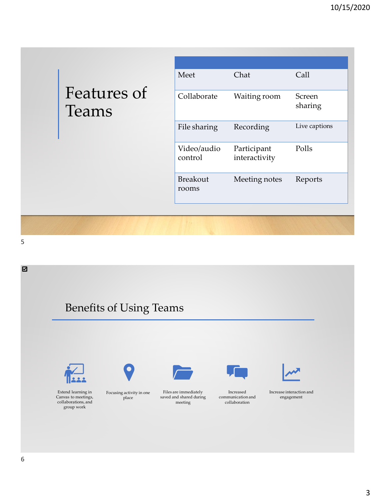|                             | Meet                     | Chat                         | Call                     |
|-----------------------------|--------------------------|------------------------------|--------------------------|
| Features of<br><b>Teams</b> | Collaborate              | Waiting room                 | <b>Screen</b><br>sharing |
|                             | File sharing             | Recording                    | Live captions            |
|                             | Video/audio<br>control   | Participant<br>interactivity | Polls                    |
|                             | <b>Breakout</b><br>rooms | Meeting notes                | Reports                  |
|                             |                          |                              |                          |